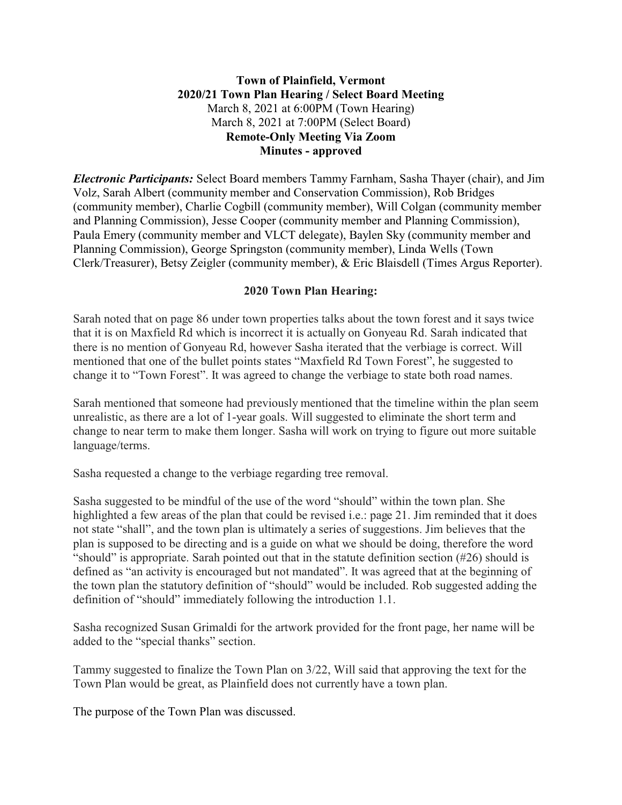# **Town of Plainfield, Vermont 2020/21 Town Plan Hearing / Select Board Meeting** March 8, 2021 at 6:00PM (Town Hearing) March 8, 2021 at 7:00PM (Select Board) **Remote-Only Meeting Via Zoom Minutes - approved**

*Electronic Participants:* Select Board members Tammy Farnham, Sasha Thayer (chair), and Jim Volz, Sarah Albert (community member and Conservation Commission), Rob Bridges (community member), Charlie Cogbill (community member), Will Colgan (community member and Planning Commission), Jesse Cooper (community member and Planning Commission), Paula Emery (community member and VLCT delegate), Baylen Sky (community member and Planning Commission), George Springston (community member), Linda Wells (Town Clerk/Treasurer), Betsy Zeigler (community member), & Eric Blaisdell (Times Argus Reporter).

# **2020 Town Plan Hearing:**

Sarah noted that on page 86 under town properties talks about the town forest and it says twice that it is on Maxfield Rd which is incorrect it is actually on Gonyeau Rd. Sarah indicated that there is no mention of Gonyeau Rd, however Sasha iterated that the verbiage is correct. Will mentioned that one of the bullet points states "Maxfield Rd Town Forest", he suggested to change it to "Town Forest". It was agreed to change the verbiage to state both road names.

Sarah mentioned that someone had previously mentioned that the timeline within the plan seem unrealistic, as there are a lot of 1-year goals. Will suggested to eliminate the short term and change to near term to make them longer. Sasha will work on trying to figure out more suitable language/terms.

Sasha requested a change to the verbiage regarding tree removal.

Sasha suggested to be mindful of the use of the word "should" within the town plan. She highlighted a few areas of the plan that could be revised *i.e.:* page 21. Jim reminded that it does not state "shall", and the town plan is ultimately a series of suggestions. Jim believes that the plan is supposed to be directing and is a guide on what we should be doing, therefore the word "should" is appropriate. Sarah pointed out that in the statute definition section (#26) should is defined as "an activity is encouraged but not mandated". It was agreed that at the beginning of the town plan the statutory definition of "should" would be included. Rob suggested adding the definition of "should" immediately following the introduction 1.1.

Sasha recognized Susan Grimaldi for the artwork provided for the front page, her name will be added to the "special thanks" section.

Tammy suggested to finalize the Town Plan on 3/22, Will said that approving the text for the Town Plan would be great, as Plainfield does not currently have a town plan.

The purpose of the Town Plan was discussed.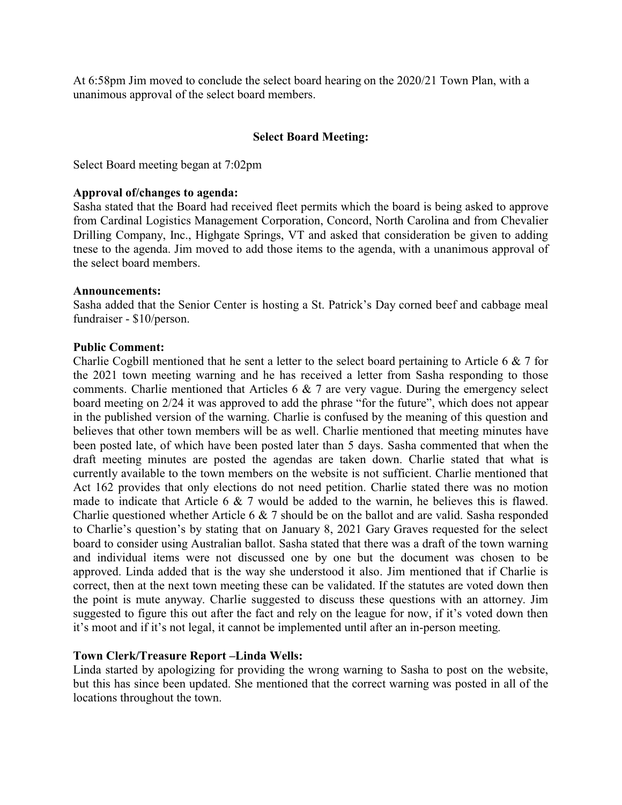At 6:58pm Jim moved to conclude the select board hearing on the 2020/21 Town Plan, with a unanimous approval of the select board members.

## **Select Board Meeting:**

Select Board meeting began at 7:02pm

#### **Approval of/changes to agenda:**

Sasha stated that the Board had received fleet permits which the board is being asked to approve from Cardinal Logistics Management Corporation, Concord, North Carolina and from Chevalier Drilling Company, Inc., Highgate Springs, VT and asked that consideration be given to adding tnese to the agenda. Jim moved to add those items to the agenda, with a unanimous approval of the select board members.

#### **Announcements:**

Sasha added that the Senior Center is hosting a St. Patrick's Day corned beef and cabbage meal fundraiser - \$10/person.

### **Public Comment:**

Charlie Cogbill mentioned that he sent a letter to the select board pertaining to Article 6 & 7 for the 2021 town meeting warning and he has received a letter from Sasha responding to those comments. Charlie mentioned that Articles 6 & 7 are very vague. During the emergency select board meeting on 2/24 it was approved to add the phrase "for the future", which does not appear in the published version of the warning. Charlie is confused by the meaning of this question and believes that other town members will be as well. Charlie mentioned that meeting minutes have been posted late, of which have been posted later than 5 days. Sasha commented that when the draft meeting minutes are posted the agendas are taken down. Charlie stated that what is currently available to the town members on the website is not sufficient. Charlie mentioned that Act 162 provides that only elections do not need petition. Charlie stated there was no motion made to indicate that Article 6 & 7 would be added to the warnin, he believes this is flawed. Charlie questioned whether Article 6 & 7 should be on the ballot and are valid. Sasha responded to Charlie's question's by stating that on January 8, 2021 Gary Graves requested for the select board to consider using Australian ballot. Sasha stated that there was a draft of the town warning and individual items were not discussed one by one but the document was chosen to be approved. Linda added that is the way she understood it also. Jim mentioned that if Charlie is correct, then at the next town meeting these can be validated. If the statutes are voted down then the point is mute anyway. Charlie suggested to discuss these questions with an attorney. Jim suggested to figure this out after the fact and rely on the league for now, if it's voted down then it's moot and if it's not legal, it cannot be implemented until after an in-person meeting.

## **Town Clerk/Treasure Report –Linda Wells:**

Linda started by apologizing for providing the wrong warning to Sasha to post on the website, but this has since been updated. She mentioned that the correct warning was posted in all of the locations throughout the town.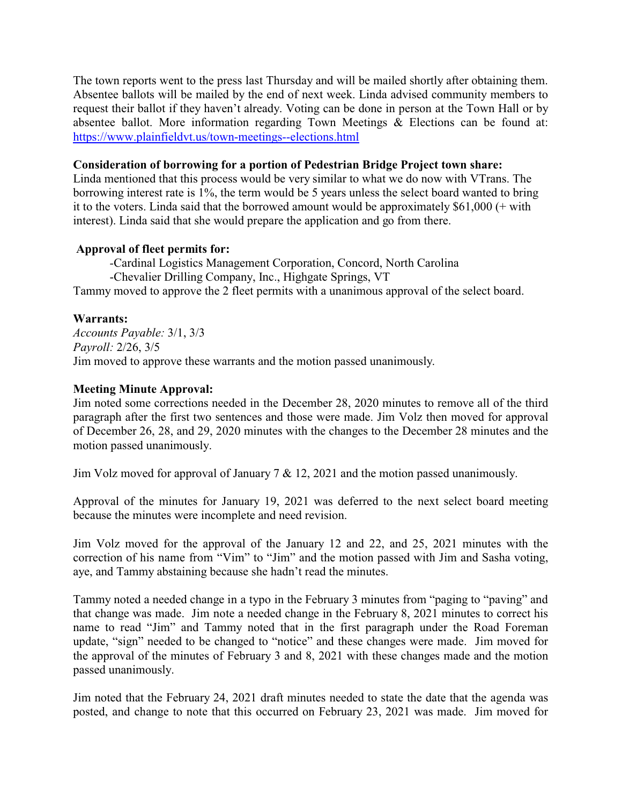The town reports went to the press last Thursday and will be mailed shortly after obtaining them. Absentee ballots will be mailed by the end of next week. Linda advised community members to request their ballot if they haven't already. Voting can be done in person at the Town Hall or by absentee ballot. More information regarding Town Meetings & Elections can be found at: <https://www.plainfieldvt.us/town-meetings--elections.html>

### **Consideration of borrowing for a portion of Pedestrian Bridge Project town share:**

Linda mentioned that this process would be very similar to what we do now with VTrans. The borrowing interest rate is 1%, the term would be 5 years unless the select board wanted to bring it to the voters. Linda said that the borrowed amount would be approximately \$61,000 (+ with interest). Linda said that she would prepare the application and go from there.

## **Approval of fleet permits for:**

*-*Cardinal Logistics Management Corporation, Concord, North Carolina -Chevalier Drilling Company, Inc., Highgate Springs, VT Tammy moved to approve the 2 fleet permits with a unanimous approval of the select board.

### **Warrants:**

*Accounts Payable:* 3/1, 3/3 *Payroll:* 2/26, 3/5 Jim moved to approve these warrants and the motion passed unanimously.

### **Meeting Minute Approval:**

Jim noted some corrections needed in the December 28, 2020 minutes to remove all of the third paragraph after the first two sentences and those were made. Jim Volz then moved for approval of December 26, 28, and 29, 2020 minutes with the changes to the December 28 minutes and the motion passed unanimously.

Jim Volz moved for approval of January 7 & 12, 2021 and the motion passed unanimously.

Approval of the minutes for January 19, 2021 was deferred to the next select board meeting because the minutes were incomplete and need revision.

Jim Volz moved for the approval of the January 12 and 22, and 25, 2021 minutes with the correction of his name from "Vim" to "Jim" and the motion passed with Jim and Sasha voting, aye, and Tammy abstaining because she hadn't read the minutes.

Tammy noted a needed change in a typo in the February 3 minutes from "paging to "paving" and that change was made. Jim note a needed change in the February 8, 2021 minutes to correct his name to read "Jim" and Tammy noted that in the first paragraph under the Road Foreman update, "sign" needed to be changed to "notice" and these changes were made. Jim moved for the approval of the minutes of February 3 and 8, 2021 with these changes made and the motion passed unanimously.

Jim noted that the February 24, 2021 draft minutes needed to state the date that the agenda was posted, and change to note that this occurred on February 23, 2021 was made. Jim moved for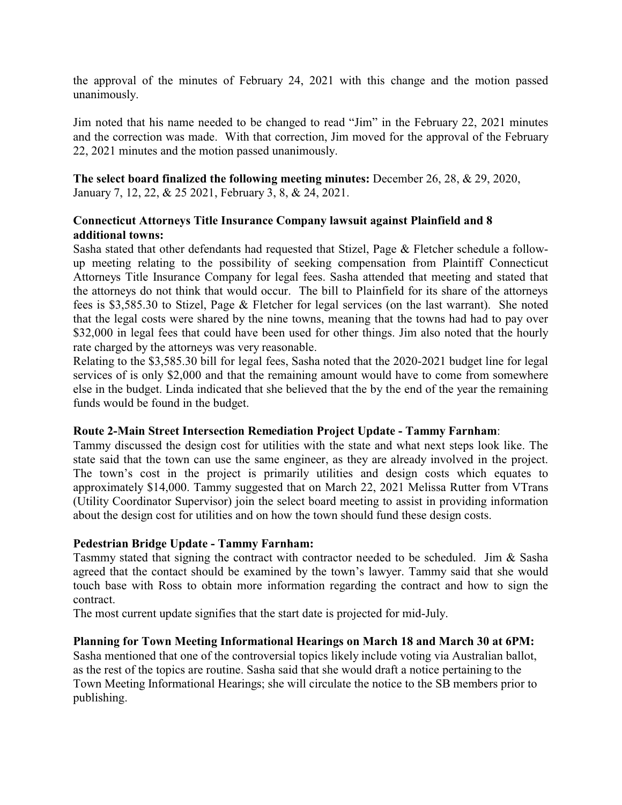the approval of the minutes of February 24, 2021 with this change and the motion passed unanimously.

Jim noted that his name needed to be changed to read "Jim" in the February 22, 2021 minutes and the correction was made. With that correction, Jim moved for the approval of the February 22, 2021 minutes and the motion passed unanimously.

**The select board finalized the following meeting minutes:** December 26, 28, & 29, 2020, January 7, 12, 22, & 25 2021, February 3, 8, & 24, 2021.

# **Connecticut Attorneys Title Insurance Company lawsuit against Plainfield and 8 additional towns:**

Sasha stated that other defendants had requested that Stizel, Page & Fletcher schedule a followup meeting relating to the possibility of seeking compensation from Plaintiff Connecticut Attorneys Title Insurance Company for legal fees. Sasha attended that meeting and stated that the attorneys do not think that would occur. The bill to Plainfield for its share of the attorneys fees is \$3,585.30 to Stizel, Page & Fletcher for legal services (on the last warrant). She noted that the legal costs were shared by the nine towns, meaning that the towns had had to pay over \$32,000 in legal fees that could have been used for other things. Jim also noted that the hourly rate charged by the attorneys was very reasonable.

Relating to the \$3,585.30 bill for legal fees, Sasha noted that the 2020-2021 budget line for legal services of is only \$2,000 and that the remaining amount would have to come from somewhere else in the budget. Linda indicated that she believed that the by the end of the year the remaining funds would be found in the budget.

## **Route 2-Main Street Intersection Remediation Project Update - Tammy Farnham**:

Tammy discussed the design cost for utilities with the state and what next steps look like. The state said that the town can use the same engineer, as they are already involved in the project. The town's cost in the project is primarily utilities and design costs which equates to approximately \$14,000. Tammy suggested that on March 22, 2021 Melissa Rutter from VTrans (Utility Coordinator Supervisor) join the select board meeting to assist in providing information about the design cost for utilities and on how the town should fund these design costs.

## **Pedestrian Bridge Update - Tammy Farnham:**

Tasmmy stated that signing the contract with contractor needed to be scheduled. Jim & Sasha agreed that the contact should be examined by the town's lawyer. Tammy said that she would touch base with Ross to obtain more information regarding the contract and how to sign the contract.

The most current update signifies that the start date is projected for mid-July.

## **Planning for Town Meeting Informational Hearings on March 18 and March 30 at 6PM:**

Sasha mentioned that one of the controversial topics likely include voting via Australian ballot, as the rest of the topics are routine. Sasha said that she would draft a notice pertaining to the Town Meeting Informational Hearings; she will circulate the notice to the SB members prior to publishing.